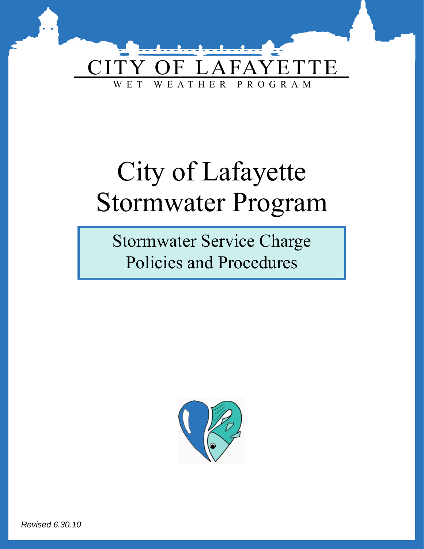

# City of Lafayette Stormwater Program

Stormwater Service Charge Policies and Procedures



Revised 6.30.10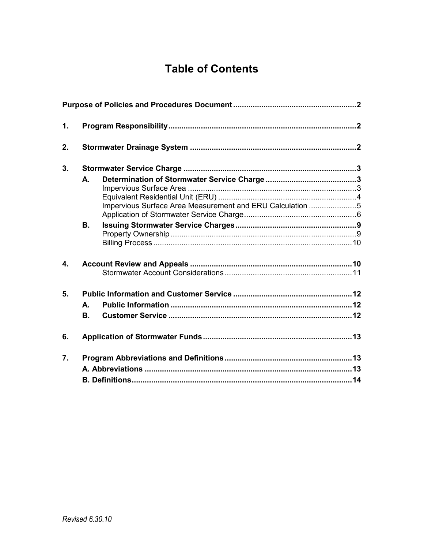# **Table of Contents**

| 1. |           |                                                           |  |
|----|-----------|-----------------------------------------------------------|--|
| 2. |           |                                                           |  |
| 3. |           |                                                           |  |
|    | A.        | Impervious Surface Area Measurement and ERU Calculation 5 |  |
|    | <b>B.</b> |                                                           |  |
| 4. |           |                                                           |  |
| 5. |           |                                                           |  |
|    | А.        |                                                           |  |
|    | Β.        |                                                           |  |
| 6. |           |                                                           |  |
| 7. |           |                                                           |  |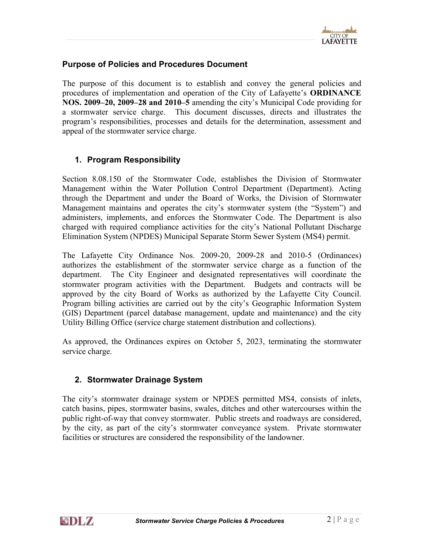

# <span id="page-2-0"></span>Purpose of Policies and Procedures Document

The purpose of this document is to establish and convey the general policies and procedures of implementation and operation of the City of Lafayette's ORDINANCE NOS. 2009–20, 2009–28 and 2010–5 amending the city's Municipal Code providing for a stormwater service charge. This document discusses, directs and illustrates the program's responsibilities, processes and details for the determination, assessment and appeal of the stormwater service charge.

# 1. Program Responsibility

Section 8.08.150 of the Stormwater Code, establishes the Division of Stormwater Management within the Water Pollution Control Department (Department). Acting through the Department and under the Board of Works, the Division of Stormwater Management maintains and operates the city's stormwater system (the "System") and administers, implements, and enforces the Stormwater Code. The Department is also charged with required compliance activities for the city's National Pollutant Discharge Elimination System (NPDES) Municipal Separate Storm Sewer System (MS4) permit.

The Lafayette City Ordinance Nos. 2009-20, 2009-28 and 2010-5 (Ordinances) authorizes the establishment of the stormwater service charge as a function of the department. The City Engineer and designated representatives will coordinate the stormwater program activities with the Department. Budgets and contracts will be approved by the city Board of Works as authorized by the Lafayette City Council. Program billing activities are carried out by the city's Geographic Information System (GIS) Department (parcel database management, update and maintenance) and the city Utility Billing Office (service charge statement distribution and collections).

As approved, the Ordinances expires on October 5, 2023, terminating the stormwater service charge.

### 2. Stormwater Drainage System

The city's stormwater drainage system or NPDES permitted MS4, consists of inlets, catch basins, pipes, stormwater basins, swales, ditches and other watercourses within the public right-of-way that convey stormwater. Public streets and roadways are considered, by the city, as part of the city's stormwater conveyance system. Private stormwater facilities or structures are considered the responsibility of the landowner.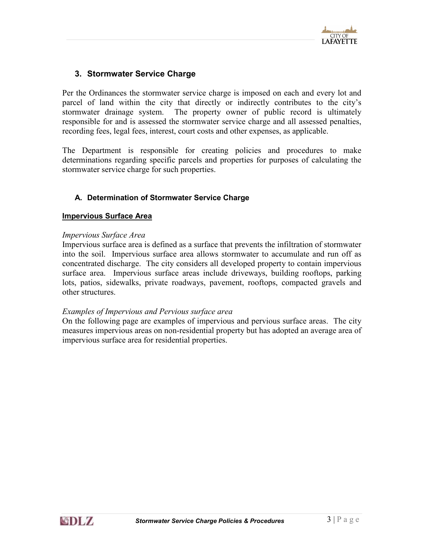

# <span id="page-3-0"></span>3. Stormwater Service Charge

Per the Ordinances the stormwater service charge is imposed on each and every lot and parcel of land within the city that directly or indirectly contributes to the city's stormwater drainage system. The property owner of public record is ultimately responsible for and is assessed the stormwater service charge and all assessed penalties, recording fees, legal fees, interest, court costs and other expenses, as applicable.

The Department is responsible for creating policies and procedures to make determinations regarding specific parcels and properties for purposes of calculating the stormwater service charge for such properties.

#### A. Determination of Stormwater Service Charge

#### Impervious Surface Area

#### Impervious Surface Area

Impervious surface area is defined as a surface that prevents the infiltration of stormwater into the soil. Impervious surface area allows stormwater to accumulate and run off as concentrated discharge. The city considers all developed property to contain impervious surface area. Impervious surface areas include driveways, building rooftops, parking lots, patios, sidewalks, private roadways, pavement, rooftops, compacted gravels and other structures.

#### Examples of Impervious and Pervious surface area

On the following page are examples of impervious and pervious surface areas. The city measures impervious areas on non-residential property but has adopted an average area of impervious surface area for residential properties.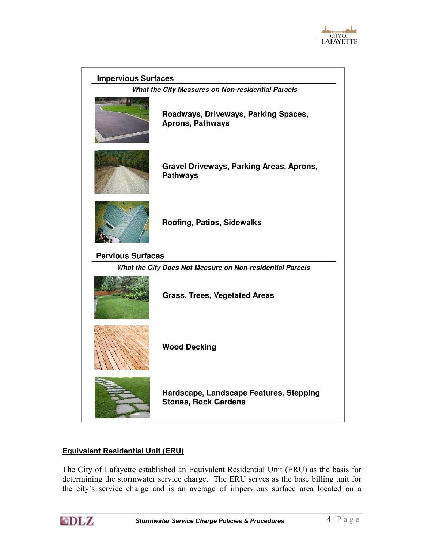

<span id="page-4-0"></span>

| <b>Impervious Surfaces</b>                        |                                                                        |  |  |  |
|---------------------------------------------------|------------------------------------------------------------------------|--|--|--|
| What the City Measures on Non-residential Parcels |                                                                        |  |  |  |
|                                                   | Roadways, Driveways, Parking Spaces,<br><b>Aprons, Pathways</b>        |  |  |  |
|                                                   | Gravel Driveways, Parking Areas, Aprons,<br><b>Pathways</b>            |  |  |  |
|                                                   | Roofing, Patios, Sidewalks                                             |  |  |  |
| <b>Pervious Surfaces</b>                          |                                                                        |  |  |  |
|                                                   | What the City Does Not Measure on Non-residential Parcels              |  |  |  |
|                                                   | <b>Grass, Trees, Vegetated Areas</b>                                   |  |  |  |
|                                                   | <b>Wood Decking</b>                                                    |  |  |  |
|                                                   | Hardscape, Landscape Features, Stepping<br><b>Stones, Rock Gardens</b> |  |  |  |

# Equivalent Residential Unit (ERU)

The City of Lafayette established an Equivalent Residential Unit (ERU) as the basis for determining the stormwater service charge. The ERU serves as the base billing unit for the city's service charge and is an average of impervious surface area located on a

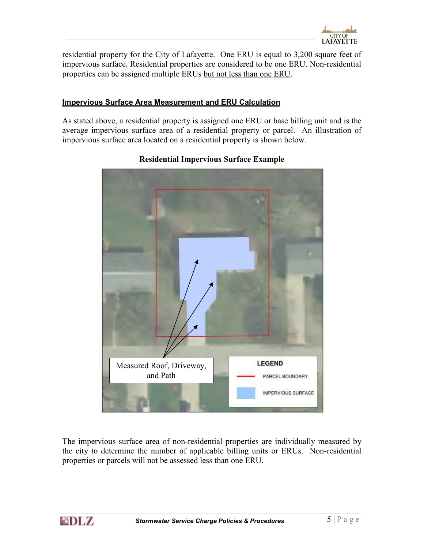

<span id="page-5-0"></span>residential property for the City of Lafayette. One ERU is equal to 3,200 square feet of impervious surface. Residential properties are considered to be one ERU. Non-residential properties can be assigned multiple ERUs but not less than one ERU.

#### Impervious Surface Area Measurement and ERU Calculation

As stated above, a residential property is assigned one ERU or base billing unit and is the average impervious surface area of a residential property or parcel. An illustration of impervious surface area located on a residential property is shown below.



# Residential Impervious Surface Example

The impervious surface area of non-residential properties are individually measured by the city to determine the number of applicable billing units or ERUs. Non-residential properties or parcels will not be assessed less than one ERU.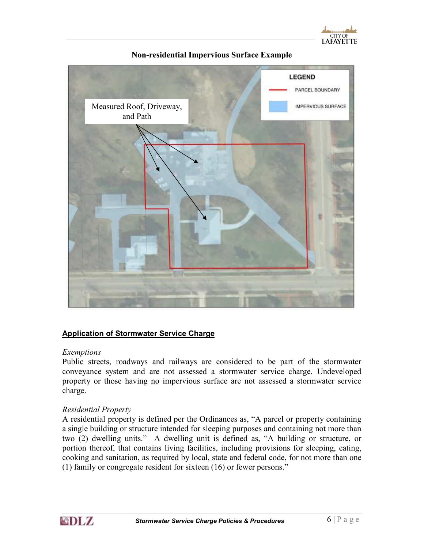

<span id="page-6-0"></span>

Non-residential Impervious Surface Example

#### Application of Stormwater Service Charge

#### Exemptions

Public streets, roadways and railways are considered to be part of the stormwater conveyance system and are not assessed a stormwater service charge. Undeveloped property or those having no impervious surface are not assessed a stormwater service charge.

#### Residential Property

A residential property is defined per the Ordinances as, "A parcel or property containing a single building or structure intended for sleeping purposes and containing not more than two (2) dwelling units." A dwelling unit is defined as, "A building or structure, or portion thereof, that contains living facilities, including provisions for sleeping, eating, cooking and sanitation, as required by local, state and federal code, for not more than one (1) family or congregate resident for sixteen (16) or fewer persons."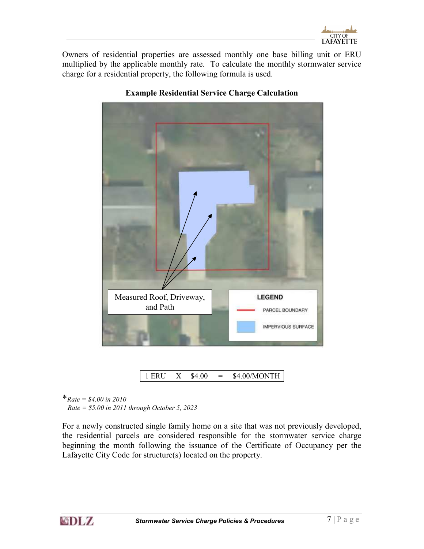

Owners of residential properties are assessed monthly one base billing unit or ERU multiplied by the applicable monthly rate. To calculate the monthly stormwater service charge for a residential property, the following formula is used.



### Example Residential Service Charge Calculation

1 ERU X \$4.00 = \$4.00/MONTH

\*Rate = \$4.00 in 2010

 $Rate = $5.00$  in 2011 through October 5, 2023

For a newly constructed single family home on a site that was not previously developed, the residential parcels are considered responsible for the stormwater service charge beginning the month following the issuance of the Certificate of Occupancy per the Lafayette City Code for structure(s) located on the property.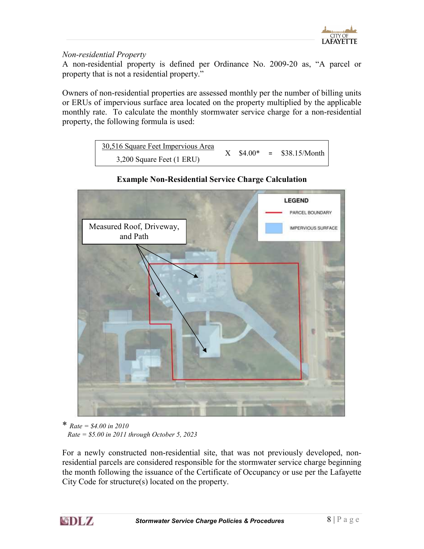

## Non-residential Property

A non-residential property is defined per Ordinance No. 2009-20 as, "A parcel or property that is not a residential property."

Owners of non-residential properties are assessed monthly per the number of billing units or ERUs of impervious surface area located on the property multiplied by the applicable monthly rate. To calculate the monthly stormwater service charge for a non-residential property, the following formula is used:



# Example Non-Residential Service Charge Calculation

\* Rate =  $$4.00$  in 2010  $Rate = $5.00$  in 2011 through October 5, 2023

For a newly constructed non-residential site, that was not previously developed, nonresidential parcels are considered responsible for the stormwater service charge beginning the month following the issuance of the Certificate of Occupancy or use per the Lafayette City Code for structure(s) located on the property.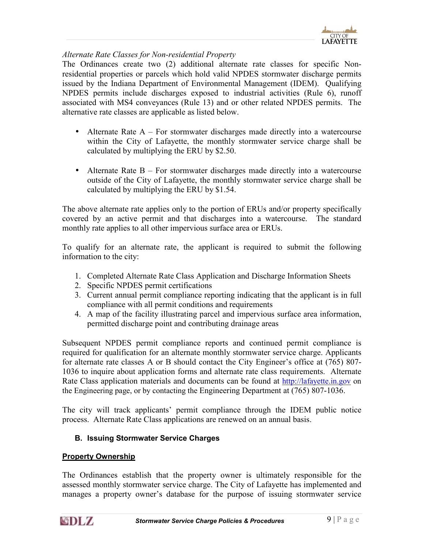

#### <span id="page-9-0"></span>Alternate Rate Classes for Non-residential Property

The Ordinances create two (2) additional alternate rate classes for specific Nonresidential properties or parcels which hold valid NPDES stormwater discharge permits issued by the Indiana Department of Environmental Management (IDEM). Qualifying NPDES permits include discharges exposed to industrial activities (Rule 6), runoff associated with MS4 conveyances (Rule 13) and or other related NPDES permits. The alternative rate classes are applicable as listed below.

- Alternate Rate  $A For stormwater discharges made directly into a watercourse$ within the City of Lafayette, the monthly stormwater service charge shall be calculated by multiplying the ERU by \$2.50.
- Alternate Rate B For stormwater discharges made directly into a watercourse outside of the City of Lafayette, the monthly stormwater service charge shall be calculated by multiplying the ERU by \$1.54.

The above alternate rate applies only to the portion of ERUs and/or property specifically covered by an active permit and that discharges into a watercourse. The standard monthly rate applies to all other impervious surface area or ERUs.

To qualify for an alternate rate, the applicant is required to submit the following information to the city:

- 1. Completed Alternate Rate Class Application and Discharge Information Sheets
- 2. Specific NPDES permit certifications
- 3. Current annual permit compliance reporting indicating that the applicant is in full compliance with all permit conditions and requirements
- 4. A map of the facility illustrating parcel and impervious surface area information, permitted discharge point and contributing drainage areas

Subsequent NPDES permit compliance reports and continued permit compliance is required for qualification for an alternate monthly stormwater service charge. Applicants for alternate rate classes A or B should contact the City Engineer's office at (765) 807- 1036 to inquire about application forms and alternate rate class requirements. Alternate Rate Class application materials and documents can be found at [http://lafayette.in.gov](http://lafayette.in.gov/) on the Engineering page, or by contacting the Engineering Department at (765) 807-1036.

The city will track applicants' permit compliance through the IDEM public notice process. Alternate Rate Class applications are renewed on an annual basis.

### B. Issuing Stormwater Service Charges

#### Property Ownership

The Ordinances establish that the property owner is ultimately responsible for the assessed monthly stormwater service charge. The City of Lafayette has implemented and manages a property owner's database for the purpose of issuing stormwater service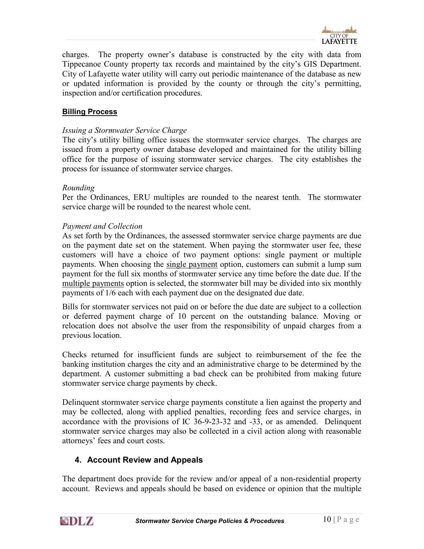

<span id="page-10-0"></span>charges. The property owner's database is constructed by the city with data from Tippecanoe County property tax records and maintained by the city's GIS Department. City of Lafayette water utility will carry out periodic maintenance of the database as new or updated information is provided by the county or through the city's permitting, inspection and/or certification procedures.

# **Billing Process**

#### Issuing a Stormwater Service Charge

The city's utility billing office issues the stormwater service charges. The charges are issued from a property owner database developed and maintained for the utility billing office for the purpose of issuing stormwater service charges. The city establishes the process for issuance of stormwater service charges.

#### Rounding

Per the Ordinances, ERU multiples are rounded to the nearest tenth. The stormwater service charge will be rounded to the nearest whole cent.

#### Payment and Collection

As set forth by the Ordinances, the assessed stormwater service charge payments are due on the payment date set on the statement. When paying the stormwater user fee, these customers will have a choice of two payment options: single payment or multiple payments. When choosing the single payment option, customers can submit a lump sum payment for the full six months of stormwater service any time before the date due. If the multiple payments option is selected, the stormwater bill may be divided into six monthly payments of 1/6 each with each payment due on the designated due date.

Bills for stormwater services not paid on or before the due date are subject to a collection or deferred payment charge of 10 percent on the outstanding balance. Moving or relocation does not absolve the user from the responsibility of unpaid charges from a previous location.

Checks returned for insufficient funds are subject to reimbursement of the fee the banking institution charges the city and an administrative charge to be determined by the department. A customer submitting a bad check can be prohibited from making future stormwater service charge payments by check.

Delinquent stormwater service charge payments constitute a lien against the property and may be collected, along with applied penalties, recording fees and service charges, in accordance with the provisions of IC 36-9-23-32 and -33, or as amended. Delinquent stormwater service charges may also be collected in a civil action along with reasonable attorneys' fees and court costs.

### 4. Account Review and Appeals

The department does provide for the review and/or appeal of a non-residential property account. Reviews and appeals should be based on evidence or opinion that the multiple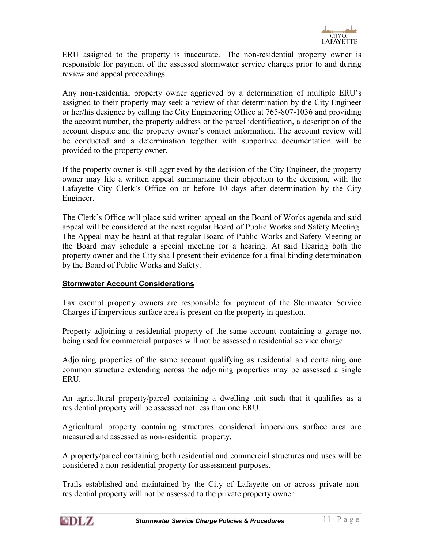

<span id="page-11-0"></span>ERU assigned to the property is inaccurate. The non-residential property owner is responsible for payment of the assessed stormwater service charges prior to and during review and appeal proceedings.

Any non-residential property owner aggrieved by a determination of multiple ERU's assigned to their property may seek a review of that determination by the City Engineer or her/his designee by calling the City Engineering Office at 765-807-1036 and providing the account number, the property address or the parcel identification, a description of the account dispute and the property owner's contact information. The account review will be conducted and a determination together with supportive documentation will be provided to the property owner.

If the property owner is still aggrieved by the decision of the City Engineer, the property owner may file a written appeal summarizing their objection to the decision, with the Lafayette City Clerk's Office on or before 10 days after determination by the City Engineer.

The Clerk's Office will place said written appeal on the Board of Works agenda and said appeal will be considered at the next regular Board of Public Works and Safety Meeting. The Appeal may be heard at that regular Board of Public Works and Safety Meeting or the Board may schedule a special meeting for a hearing. At said Hearing both the property owner and the City shall present their evidence for a final binding determination by the Board of Public Works and Safety.

### Stormwater Account Considerations

Tax exempt property owners are responsible for payment of the Stormwater Service Charges if impervious surface area is present on the property in question.

Property adjoining a residential property of the same account containing a garage not being used for commercial purposes will not be assessed a residential service charge.

Adjoining properties of the same account qualifying as residential and containing one common structure extending across the adjoining properties may be assessed a single **ERU.** 

An agricultural property/parcel containing a dwelling unit such that it qualifies as a residential property will be assessed not less than one ERU.

Agricultural property containing structures considered impervious surface area are measured and assessed as non-residential property.

A property/parcel containing both residential and commercial structures and uses will be considered a non-residential property for assessment purposes.

Trails established and maintained by the City of Lafayette on or across private nonresidential property will not be assessed to the private property owner.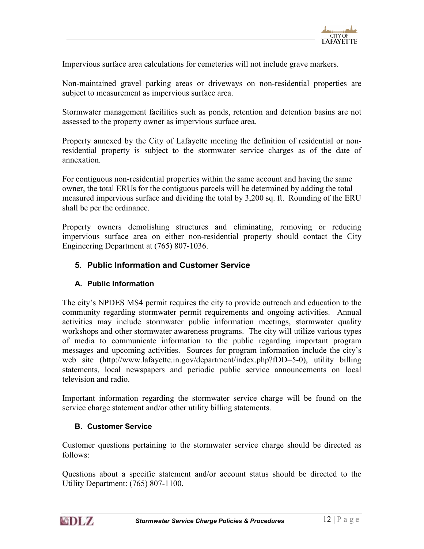

<span id="page-12-0"></span>Impervious surface area calculations for cemeteries will not include grave markers.

Non-maintained gravel parking areas or driveways on non-residential properties are subject to measurement as impervious surface area.

Stormwater management facilities such as ponds, retention and detention basins are not assessed to the property owner as impervious surface area.

Property annexed by the City of Lafayette meeting the definition of residential or nonresidential property is subject to the stormwater service charges as of the date of annexation.

For contiguous non-residential properties within the same account and having the same owner, the total ERUs for the contiguous parcels will be determined by adding the total measured impervious surface and dividing the total by 3,200 sq. ft. Rounding of the ERU shall be per the ordinance.

Property owners demolishing structures and eliminating, removing or reducing impervious surface area on either non-residential property should contact the City Engineering Department at (765) 807-1036.

# 5. Public Information and Customer Service

### A. Public Information

The city's NPDES MS4 permit requires the city to provide outreach and education to the community regarding stormwater permit requirements and ongoing activities. Annual activities may include stormwater public information meetings, stormwater quality workshops and other stormwater awareness programs. The city will utilize various types of media to communicate information to the public regarding important program messages and upcoming activities. Sources for program information include the city's web site (http://www.lafayette.in.gov/department/index.php?fDD=5-0), utility billing statements, local newspapers and periodic public service announcements on local television and radio.

Important information regarding the stormwater service charge will be found on the service charge statement and/or other utility billing statements.

### B. Customer Service

Customer questions pertaining to the stormwater service charge should be directed as follows:

Questions about a specific statement and/or account status should be directed to the Utility Department: (765) 807-1100.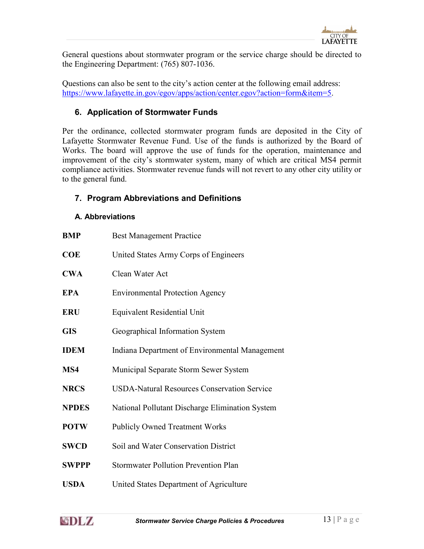

<span id="page-13-0"></span>General questions about stormwater program or the service charge should be directed to the Engineering Department: (765) 807-1036.

Questions can also be sent to the city's action center at the following email address: <https://www.lafayette.in.gov/egov/apps/action/center.egov?action=form&item=5>.

# 6. Application of Stormwater Funds

Per the ordinance, collected stormwater program funds are deposited in the City of Lafayette Stormwater Revenue Fund. Use of the funds is authorized by the Board of Works. The board will approve the use of funds for the operation, maintenance and improvement of the city's stormwater system, many of which are critical MS4 permit compliance activities. Stormwater revenue funds will not revert to any other city utility or to the general fund.

# 7. Program Abbreviations and Definitions

### A. Abbreviations

| <b>BMP</b>   | <b>Best Management Practice</b>                    |
|--------------|----------------------------------------------------|
| <b>COE</b>   | United States Army Corps of Engineers              |
| <b>CWA</b>   | Clean Water Act                                    |
| <b>EPA</b>   | <b>Environmental Protection Agency</b>             |
| <b>ERU</b>   | <b>Equivalent Residential Unit</b>                 |
| <b>GIS</b>   | Geographical Information System                    |
| <b>IDEM</b>  | Indiana Department of Environmental Management     |
| MS4          | Municipal Separate Storm Sewer System              |
| <b>NRCS</b>  | <b>USDA-Natural Resources Conservation Service</b> |
| <b>NPDES</b> | National Pollutant Discharge Elimination System    |
| <b>POTW</b>  | <b>Publicly Owned Treatment Works</b>              |
| <b>SWCD</b>  | Soil and Water Conservation District               |
| <b>SWPPP</b> | <b>Stormwater Pollution Prevention Plan</b>        |
| <b>USDA</b>  | United States Department of Agriculture            |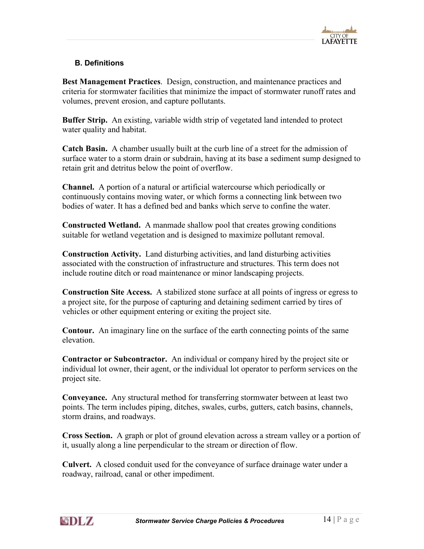

# <span id="page-14-0"></span>B. Definitions

Best Management Practices. Design, construction, and maintenance practices and criteria for stormwater facilities that minimize the impact of stormwater runoff rates and volumes, prevent erosion, and capture pollutants.

Buffer Strip. An existing, variable width strip of vegetated land intended to protect water quality and habitat.

Catch Basin. A chamber usually built at the curb line of a street for the admission of surface water to a storm drain or subdrain, having at its base a sediment sump designed to retain grit and detritus below the point of overflow.

Channel. A portion of a natural or artificial watercourse which periodically or continuously contains moving water, or which forms a connecting link between two bodies of water. It has a defined bed and banks which serve to confine the water.

Constructed Wetland. A manmade shallow pool that creates growing conditions suitable for wetland vegetation and is designed to maximize pollutant removal.

Construction Activity. Land disturbing activities, and land disturbing activities associated with the construction of infrastructure and structures. This term does not include routine ditch or road maintenance or minor landscaping projects.

Construction Site Access. A stabilized stone surface at all points of ingress or egress to a project site, for the purpose of capturing and detaining sediment carried by tires of vehicles or other equipment entering or exiting the project site.

Contour. An imaginary line on the surface of the earth connecting points of the same elevation.

Contractor or Subcontractor. An individual or company hired by the project site or individual lot owner, their agent, or the individual lot operator to perform services on the project site.

Conveyance. Any structural method for transferring stormwater between at least two points. The term includes piping, ditches, swales, curbs, gutters, catch basins, channels, storm drains, and roadways.

Cross Section. A graph or plot of ground elevation across a stream valley or a portion of it, usually along a line perpendicular to the stream or direction of flow.

Culvert. A closed conduit used for the conveyance of surface drainage water under a roadway, railroad, canal or other impediment.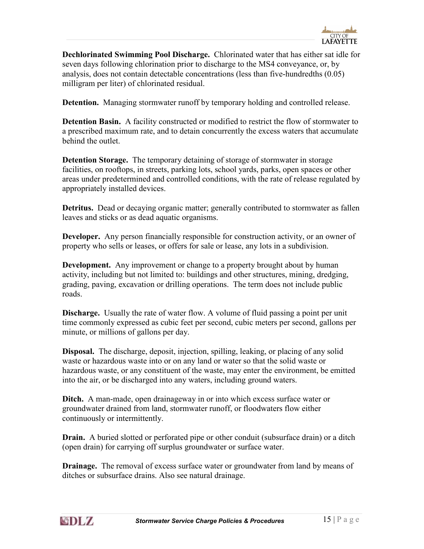

Dechlorinated Swimming Pool Discharge. Chlorinated water that has either sat idle for seven days following chlorination prior to discharge to the MS4 conveyance, or, by analysis, does not contain detectable concentrations (less than five-hundredths (0.05) milligram per liter) of chlorinated residual.

Detention. Managing stormwater runoff by temporary holding and controlled release.

Detention Basin. A facility constructed or modified to restrict the flow of stormwater to a prescribed maximum rate, and to detain concurrently the excess waters that accumulate behind the outlet.

Detention Storage. The temporary detaining of storage of stormwater in storage facilities, on rooftops, in streets, parking lots, school yards, parks, open spaces or other areas under predetermined and controlled conditions, with the rate of release regulated by appropriately installed devices.

Detritus. Dead or decaying organic matter; generally contributed to stormwater as fallen leaves and sticks or as dead aquatic organisms.

Developer. Any person financially responsible for construction activity, or an owner of property who sells or leases, or offers for sale or lease, any lots in a subdivision.

**Development.** Any improvement or change to a property brought about by human activity, including but not limited to: buildings and other structures, mining, dredging, grading, paving, excavation or drilling operations. The term does not include public roads.

Discharge. Usually the rate of water flow. A volume of fluid passing a point per unit time commonly expressed as cubic feet per second, cubic meters per second, gallons per minute, or millions of gallons per day.

Disposal. The discharge, deposit, injection, spilling, leaking, or placing of any solid waste or hazardous waste into or on any land or water so that the solid waste or hazardous waste, or any constituent of the waste, may enter the environment, be emitted into the air, or be discharged into any waters, including ground waters.

Ditch. A man-made, open drainageway in or into which excess surface water or groundwater drained from land, stormwater runoff, or floodwaters flow either continuously or intermittently.

**Drain.** A buried slotted or perforated pipe or other conduit (subsurface drain) or a ditch (open drain) for carrying off surplus groundwater or surface water.

**Drainage.** The removal of excess surface water or groundwater from land by means of ditches or subsurface drains. Also see natural drainage.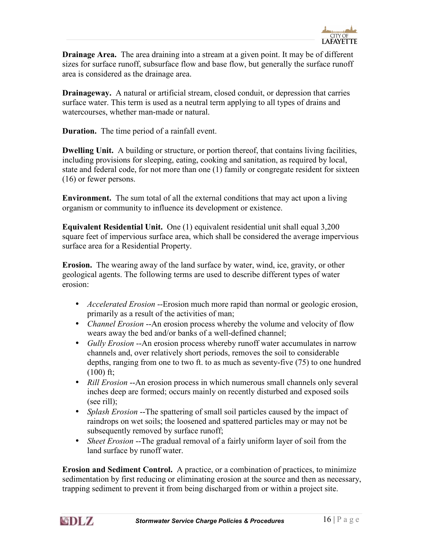

**Drainage Area.** The area draining into a stream at a given point. It may be of different sizes for surface runoff, subsurface flow and base flow, but generally the surface runoff area is considered as the drainage area.

Drainageway. A natural or artificial stream, closed conduit, or depression that carries surface water. This term is used as a neutral term applying to all types of drains and watercourses, whether man-made or natural.

Duration. The time period of a rainfall event.

Dwelling Unit. A building or structure, or portion thereof, that contains living facilities, including provisions for sleeping, eating, cooking and sanitation, as required by local, state and federal code, for not more than one (1) family or congregate resident for sixteen (16) or fewer persons.

Environment. The sum total of all the external conditions that may act upon a living organism or community to influence its development or existence.

Equivalent Residential Unit. One (1) equivalent residential unit shall equal 3,200 square feet of impervious surface area, which shall be considered the average impervious surface area for a Residential Property.

Erosion. The wearing away of the land surface by water, wind, ice, gravity, or other geological agents. The following terms are used to describe different types of water erosion:

- Accelerated Erosion --Erosion much more rapid than normal or geologic erosion, primarily as a result of the activities of man;
- *Channel Erosion* --An erosion process whereby the volume and velocity of flow wears away the bed and/or banks of a well-defined channel;
- Gully Erosion --An erosion process whereby runoff water accumulates in narrow channels and, over relatively short periods, removes the soil to considerable depths, ranging from one to two ft. to as much as seventy-five (75) to one hundred  $(100)$  ft;
- Rill Erosion --An erosion process in which numerous small channels only several inches deep are formed; occurs mainly on recently disturbed and exposed soils (see rill);
- Splash Erosion --The spattering of small soil particles caused by the impact of raindrops on wet soils; the loosened and spattered particles may or may not be subsequently removed by surface runoff;
- Sheet Erosion --The gradual removal of a fairly uniform layer of soil from the land surface by runoff water.

Erosion and Sediment Control. A practice, or a combination of practices, to minimize sedimentation by first reducing or eliminating erosion at the source and then as necessary, trapping sediment to prevent it from being discharged from or within a project site.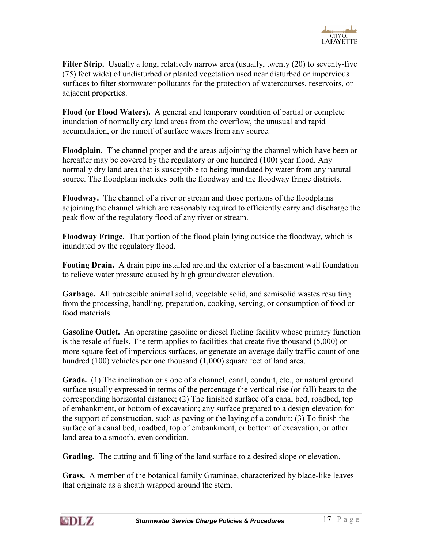

Filter Strip. Usually a long, relatively narrow area (usually, twenty (20) to seventy-five (75) feet wide) of undisturbed or planted vegetation used near disturbed or impervious surfaces to filter stormwater pollutants for the protection of watercourses, reservoirs, or adjacent properties.

Flood (or Flood Waters). A general and temporary condition of partial or complete inundation of normally dry land areas from the overflow, the unusual and rapid accumulation, or the runoff of surface waters from any source.

Floodplain. The channel proper and the areas adjoining the channel which have been or hereafter may be covered by the regulatory or one hundred (100) year flood. Any normally dry land area that is susceptible to being inundated by water from any natural source. The floodplain includes both the floodway and the floodway fringe districts.

Floodway. The channel of a river or stream and those portions of the floodplains adjoining the channel which are reasonably required to efficiently carry and discharge the peak flow of the regulatory flood of any river or stream.

Floodway Fringe. That portion of the flood plain lying outside the floodway, which is inundated by the regulatory flood.

Footing Drain. A drain pipe installed around the exterior of a basement wall foundation to relieve water pressure caused by high groundwater elevation.

Garbage. All putrescible animal solid, vegetable solid, and semisolid wastes resulting from the processing, handling, preparation, cooking, serving, or consumption of food or food materials.

Gasoline Outlet. An operating gasoline or diesel fueling facility whose primary function is the resale of fuels. The term applies to facilities that create five thousand (5,000) or more square feet of impervious surfaces, or generate an average daily traffic count of one hundred (100) vehicles per one thousand (1,000) square feet of land area.

Grade. (1) The inclination or slope of a channel, canal, conduit, etc., or natural ground surface usually expressed in terms of the percentage the vertical rise (or fall) bears to the corresponding horizontal distance; (2) The finished surface of a canal bed, roadbed, top of embankment, or bottom of excavation; any surface prepared to a design elevation for the support of construction, such as paving or the laying of a conduit; (3) To finish the surface of a canal bed, roadbed, top of embankment, or bottom of excavation, or other land area to a smooth, even condition.

Grading. The cutting and filling of the land surface to a desired slope or elevation.

Grass. A member of the botanical family Graminae, characterized by blade-like leaves that originate as a sheath wrapped around the stem.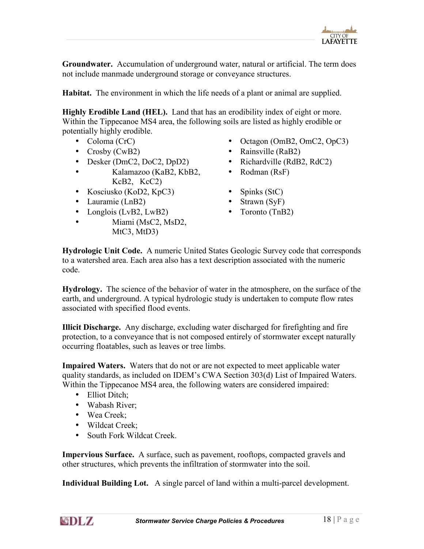

Groundwater. Accumulation of underground water, natural or artificial. The term does not include manmade underground storage or conveyance structures.

Habitat. The environment in which the life needs of a plant or animal are supplied.

Highly Erodible Land (HEL). Land that has an erodibility index of eight or more. Within the Tippecanoe MS4 area, the following soils are listed as highly erodible or potentially highly erodible.

- 
- 
- Desker (DmC2, DoC2, DpD2) Richardville (RdB2, RdC2)
- Kalamazoo (KaB2, KbB2, KcB2, KcC2)
- Kosciusko (KoD2, KpC3) Spinks (StC)
- Lauramie (LnB2) Strawn (SyF)
- Longlois (LvB2, LwB2) Toronto (TnB2)
- Miami (MsC2, MsD2, MtC3, MtD3)
- Coloma (CrC) Octagon (OmB2, OmC2, OpC3)
- Crosby (CwB2) Rainsville (RaB2)
	-
	- Rodman (RsF)
		-
	-
	-

Hydrologic Unit Code. A numeric United States Geologic Survey code that corresponds to a watershed area. Each area also has a text description associated with the numeric code.

Hydrology. The science of the behavior of water in the atmosphere, on the surface of the earth, and underground. A typical hydrologic study is undertaken to compute flow rates associated with specified flood events.

Illicit Discharge. Any discharge, excluding water discharged for firefighting and fire protection, to a conveyance that is not composed entirely of stormwater except naturally occurring floatables, such as leaves or tree limbs.

Impaired Waters. Waters that do not or are not expected to meet applicable water quality standards, as included on IDEM's CWA Section 303(d) List of Impaired Waters. Within the Tippecanoe MS4 area, the following waters are considered impaired:

- Elliot Ditch:
- Wabash River:
- Wea Creek;
- Wildcat Creek;
- South Fork Wildcat Creek.

Impervious Surface. A surface, such as pavement, rooftops, compacted gravels and other structures, which prevents the infiltration of stormwater into the soil.

Individual Building Lot. A single parcel of land within a multi-parcel development.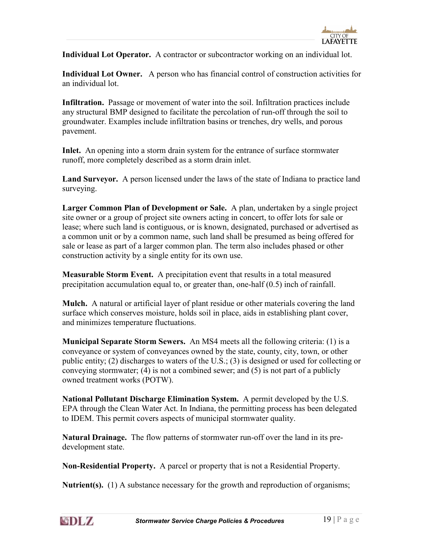

Individual Lot Operator. A contractor or subcontractor working on an individual lot.

Individual Lot Owner. A person who has financial control of construction activities for an individual lot.

Infiltration. Passage or movement of water into the soil. Infiltration practices include any structural BMP designed to facilitate the percolation of run-off through the soil to groundwater. Examples include infiltration basins or trenches, dry wells, and porous pavement.

Inlet. An opening into a storm drain system for the entrance of surface stormwater runoff, more completely described as a storm drain inlet.

Land Surveyor. A person licensed under the laws of the state of Indiana to practice land surveying.

Larger Common Plan of Development or Sale. A plan, undertaken by a single project site owner or a group of project site owners acting in concert, to offer lots for sale or lease; where such land is contiguous, or is known, designated, purchased or advertised as a common unit or by a common name, such land shall be presumed as being offered for sale or lease as part of a larger common plan. The term also includes phased or other construction activity by a single entity for its own use.

Measurable Storm Event. A precipitation event that results in a total measured precipitation accumulation equal to, or greater than, one-half (0.5) inch of rainfall.

Mulch. A natural or artificial layer of plant residue or other materials covering the land surface which conserves moisture, holds soil in place, aids in establishing plant cover, and minimizes temperature fluctuations.

Municipal Separate Storm Sewers. An MS4 meets all the following criteria: (1) is a conveyance or system of conveyances owned by the state, county, city, town, or other public entity; (2) discharges to waters of the U.S.; (3) is designed or used for collecting or conveying stormwater; (4) is not a combined sewer; and (5) is not part of a publicly owned treatment works (POTW).

National Pollutant Discharge Elimination System. A permit developed by the U.S. EPA through the Clean Water Act. In Indiana, the permitting process has been delegated to IDEM. This permit covers aspects of municipal stormwater quality.

Natural Drainage. The flow patterns of stormwater run-off over the land in its predevelopment state.

Non-Residential Property. A parcel or property that is not a Residential Property.

**Nutrient(s).** (1) A substance necessary for the growth and reproduction of organisms;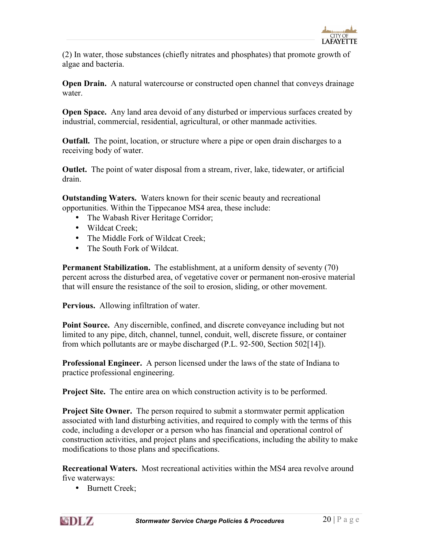(2) In water, those substances (chiefly nitrates and phosphates) that promote growth of algae and bacteria.

Open Drain. A natural watercourse or constructed open channel that conveys drainage water.

Open Space. Any land area devoid of any disturbed or impervious surfaces created by industrial, commercial, residential, agricultural, or other manmade activities.

Outfall. The point, location, or structure where a pipe or open drain discharges to a receiving body of water.

Outlet. The point of water disposal from a stream, river, lake, tidewater, or artificial drain.

Outstanding Waters. Waters known for their scenic beauty and recreational opportunities. Within the Tippecanoe MS4 area, these include:

- The Wabash River Heritage Corridor;
- Wildcat Creek;
- The Middle Fork of Wildcat Creek;
- The South Fork of Wildcat.

Permanent Stabilization. The establishment, at a uniform density of seventy (70) percent across the disturbed area, of vegetative cover or permanent non-erosive material that will ensure the resistance of the soil to erosion, sliding, or other movement.

Pervious. Allowing infiltration of water.

Point Source. Any discernible, confined, and discrete conveyance including but not limited to any pipe, ditch, channel, tunnel, conduit, well, discrete fissure, or container from which pollutants are or maybe discharged (P.L. 92-500, Section 502[14]).

Professional Engineer. A person licensed under the laws of the state of Indiana to practice professional engineering.

**Project Site.** The entire area on which construction activity is to be performed.

**Project Site Owner.** The person required to submit a stormwater permit application associated with land disturbing activities, and required to comply with the terms of this code, including a developer or a person who has financial and operational control of construction activities, and project plans and specifications, including the ability to make modifications to those plans and specifications.

Recreational Waters. Most recreational activities within the MS4 area revolve around five waterways:

• Burnett Creek;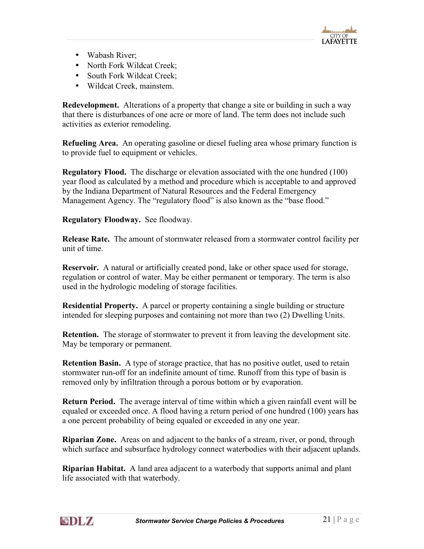

- Wabash River;
- North Fork Wildcat Creek;
- South Fork Wildcat Creek;
- Wildcat Creek, mainstem.

Redevelopment. Alterations of a property that change a site or building in such a way that there is disturbances of one acre or more of land. The term does not include such activities as exterior remodeling.

Refueling Area. An operating gasoline or diesel fueling area whose primary function is to provide fuel to equipment or vehicles.

Regulatory Flood. The discharge or elevation associated with the one hundred (100) year flood as calculated by a method and procedure which is acceptable to and approved by the Indiana Department of Natural Resources and the Federal Emergency Management Agency. The "regulatory flood" is also known as the "base flood."

Regulatory Floodway. See floodway.

Release Rate. The amount of stormwater released from a stormwater control facility per unit of time.

Reservoir. A natural or artificially created pond, lake or other space used for storage, regulation or control of water. May be either permanent or temporary. The term is also used in the hydrologic modeling of storage facilities.

Residential Property. A parcel or property containing a single building or structure intended for sleeping purposes and containing not more than two (2) Dwelling Units.

Retention. The storage of stormwater to prevent it from leaving the development site. May be temporary or permanent.

Retention Basin. A type of storage practice, that has no positive outlet, used to retain stormwater run-off for an indefinite amount of time. Runoff from this type of basin is removed only by infiltration through a porous bottom or by evaporation.

Return Period. The average interval of time within which a given rainfall event will be equaled or exceeded once. A flood having a return period of one hundred (100) years has a one percent probability of being equaled or exceeded in any one year.

Riparian Zone. Areas on and adjacent to the banks of a stream, river, or pond, through which surface and subsurface hydrology connect waterbodies with their adjacent uplands.

Riparian Habitat. A land area adjacent to a waterbody that supports animal and plant life associated with that waterbody.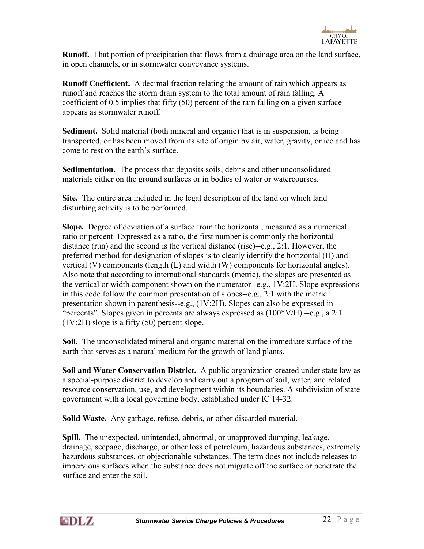

Runoff. That portion of precipitation that flows from a drainage area on the land surface, in open channels, or in stormwater conveyance systems.

Runoff Coefficient. A decimal fraction relating the amount of rain which appears as runoff and reaches the storm drain system to the total amount of rain falling. A coefficient of 0.5 implies that fifty (50) percent of the rain falling on a given surface appears as stormwater runoff.

Sediment. Solid material (both mineral and organic) that is in suspension, is being transported, or has been moved from its site of origin by air, water, gravity, or ice and has come to rest on the earth's surface.

Sedimentation. The process that deposits soils, debris and other unconsolidated materials either on the ground surfaces or in bodies of water or watercourses.

Site. The entire area included in the legal description of the land on which land disturbing activity is to be performed.

Slope. Degree of deviation of a surface from the horizontal, measured as a numerical ratio or percent. Expressed as a ratio, the first number is commonly the horizontal distance (run) and the second is the vertical distance (rise)--e.g., 2:1. However, the preferred method for designation of slopes is to clearly identify the horizontal (H) and vertical (V) components (length (L) and width (W) components for horizontal angles). Also note that according to international standards (metric), the slopes are presented as the vertical or width component shown on the numerator--e.g., 1V:2H. Slope expressions in this code follow the common presentation of slopes--e.g., 2:1 with the metric presentation shown in parenthesis--e.g., (1V:2H). Slopes can also be expressed in "percents". Slopes given in percents are always expressed as  $(100*V/H)$  --e.g., a 2:1 (1V:2H) slope is a fifty (50) percent slope.

Soil. The unconsolidated mineral and organic material on the immediate surface of the earth that serves as a natural medium for the growth of land plants.

Soil and Water Conservation District. A public organization created under state law as a special-purpose district to develop and carry out a program of soil, water, and related resource conservation, use, and development within its boundaries. A subdivision of state government with a local governing body, established under IC 14-32.

Solid Waste. Any garbage, refuse, debris, or other discarded material.

Spill. The unexpected, unintended, abnormal, or unapproved dumping, leakage, drainage, seepage, discharge, or other loss of petroleum, hazardous substances, extremely hazardous substances, or objectionable substances. The term does not include releases to impervious surfaces when the substance does not migrate off the surface or penetrate the surface and enter the soil.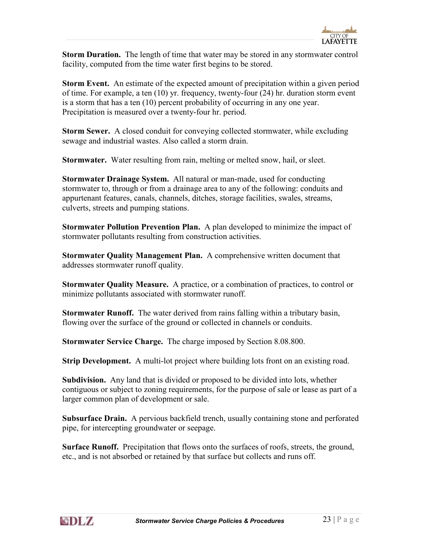

Storm Duration. The length of time that water may be stored in any stormwater control facility, computed from the time water first begins to be stored.

Storm Event. An estimate of the expected amount of precipitation within a given period of time. For example, a ten (10) yr. frequency, twenty-four (24) hr. duration storm event is a storm that has a ten (10) percent probability of occurring in any one year. Precipitation is measured over a twenty-four hr. period.

Storm Sewer. A closed conduit for conveying collected stormwater, while excluding sewage and industrial wastes. Also called a storm drain.

Stormwater. Water resulting from rain, melting or melted snow, hail, or sleet.

Stormwater Drainage System. All natural or man-made, used for conducting stormwater to, through or from a drainage area to any of the following: conduits and appurtenant features, canals, channels, ditches, storage facilities, swales, streams, culverts, streets and pumping stations.

Stormwater Pollution Prevention Plan. A plan developed to minimize the impact of stormwater pollutants resulting from construction activities.

Stormwater Quality Management Plan. A comprehensive written document that addresses stormwater runoff quality.

Stormwater Quality Measure. A practice, or a combination of practices, to control or minimize pollutants associated with stormwater runoff.

Stormwater Runoff. The water derived from rains falling within a tributary basin, flowing over the surface of the ground or collected in channels or conduits.

Stormwater Service Charge. The charge imposed by Section 8.08.800.

Strip Development. A multi-lot project where building lots front on an existing road.

Subdivision. Any land that is divided or proposed to be divided into lots, whether contiguous or subject to zoning requirements, for the purpose of sale or lease as part of a larger common plan of development or sale.

Subsurface Drain. A pervious backfield trench, usually containing stone and perforated pipe, for intercepting groundwater or seepage.

Surface Runoff. Precipitation that flows onto the surfaces of roofs, streets, the ground, etc., and is not absorbed or retained by that surface but collects and runs off.